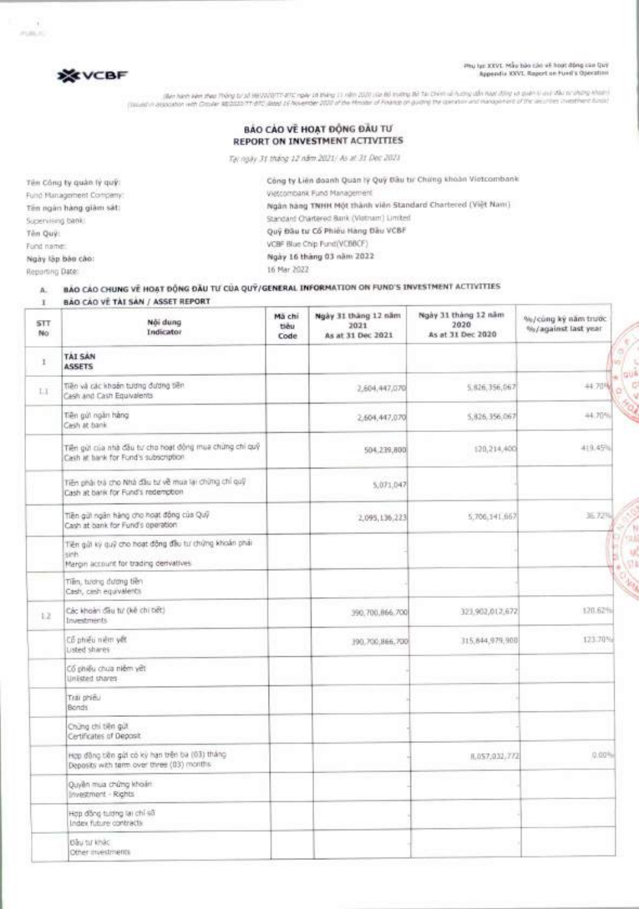#### Phu luc XXVI. Mau bao cao va hoist Ong dm Qui Appendix XXVI. Report on Fund's Operation

**0** 

**PERENC** 

 $25.7$ 



**FUEL** 

ותוחי קיטורים שלו נוגיו יתוחים היקותה לא מכול אותים על 50 קמעים של גוספים שלו דו קיטור של קיטור במקרה של המורה<br>לווהל השלחתיה של ביור שלו התייקומטרים והתמוסד את קימונה הכשומאים שלה לבד המשפטות בכמונה המכונים של המכסיר המור

#### **BAO CAO VE HOAT ĐỘNG ĐẦU TƯ REPORT ON INVESTMENT ACTIVITIES**

Tai ngay 31 thing 12 Alm 2021/ As at 31 Dec 2021

**Ten COng ty guan ly gni:**  Fund Management Company: **Ten ngan hang Om** sat: Supervising bank: **Ten Qui:**  Fund name: **Ngay lap bao cao:** 

Reporting Date:

**Cong ty Lien doanh Quan ly Quy Dau ttr Chang khoan Vietcombank**  Vietcombank Fund Management **Ngan hang TNHH M6t thank vien Standard Chartered (Viet Nam)**  Standard Chartered Bank (Vietnam) Limited Qui/ Deu tu' **Co Phieu Hang D'au VCBF**  VCBF Blue Chip Fund(VCBBCF) **Ngay 16 thing 03 nam 2022**  16 Mar 2022

## **A. BAO CAO CHUNG VE HOAT BONG DAU TU'CCIA QUV/GENERAL INFORMATION ON FUND'S INVESTMENT ACTIVITIES**

BÁO CÁO VỀ TÀI SẢN / ASSET REPORT  $\mathbf{I}$ 

| <b>STT</b><br>No | Női dung<br>Indicator                                                                                    | Mã chi<br>tiêu<br>Code | Ngày 31 tháng 12 năm<br>2021<br>As at 31 Dec 2021 | Ngày 31 tháng 12 năm<br>2020<br>As at 31 Dec 2020 | %/cùng kỳ năm trước.<br>%/against last year |
|------------------|----------------------------------------------------------------------------------------------------------|------------------------|---------------------------------------------------|---------------------------------------------------|---------------------------------------------|
| r                | <b>TAI SAN</b><br><b>ASSETS</b>                                                                          |                        |                                                   |                                                   |                                             |
| LT.              | Tiền và các khoản tương đương tiền<br>Cash and Cash Equivalents                                          |                        | 2,604,447,070                                     | 5.826,356,067                                     | 44.70%                                      |
|                  | Tiền giữ ngân hàng<br>Cash at bank                                                                       |                        | 2,604,447,070                                     | 5,826,356,067                                     | 44.70%                                      |
|                  | Tiền gửi của nhà đầu tư cho hoạt động mua chứng chỉ quỹ<br>Cash at bank for Fund's subscription          |                        | 504.239,800                                       | 120,214,400                                       | 410.45%                                     |
|                  | Tiền phải trà cho Nhà đầu tư về mua lại chứng chỉ quỹ<br>Cash at bank for Fund's redemption              |                        | 5,071,047                                         |                                                   |                                             |
|                  | Tiền giữ ngân hàng cho hoạt động của Quỹ<br>Cash at bank for Fund's operation                            |                        | 2,095,136,223                                     | 5.706.141.662                                     | 三万叫                                         |
|                  | Tiên giờ kỳ quỹ cho hoạt động đầu tư chứng khoán phái<br>sinh<br>Margin account for trading derivatives. |                        |                                                   |                                                   |                                             |
|                  | Tiên, tương đương tiên<br>Cash, cash equivalents                                                         |                        |                                                   |                                                   |                                             |
| 1.2              | Các khoản đầu tư (kê chi tiết)<br>Investments                                                            |                        | 390,700,866.700                                   | 323.902.012.672                                   | 120.62%                                     |
|                  | Cổ phiếu niệm vết<br>Lisbed shares                                                                       |                        | 190,700,866,700                                   | 315,844,979,900                                   | 123.70%                                     |
|                  | Cổ phiếu chưa niêm yết<br>LinEsted shares                                                                |                        |                                                   |                                                   |                                             |
|                  | Trai phieu<br>Bonds                                                                                      |                        |                                                   |                                                   |                                             |
|                  | Chứng chi tiên gửi<br>Certificates of Deposit                                                            |                        |                                                   |                                                   |                                             |
|                  | Hợp đồng tiền gửi có kỳ hạn trên ba (03) tháng<br>Deposits with term over three (03) months              |                        |                                                   | 8,057;032,772                                     | 0.00%                                       |
|                  | Quyền mua chứng khoán<br>Investment - Rights                                                             |                        |                                                   |                                                   |                                             |
|                  | Hợp đồng tuidng lại chỉ số<br>Index future contracts                                                     |                        |                                                   |                                                   |                                             |
|                  | Dâu tư khác<br>Other myestments                                                                          |                        |                                                   |                                                   |                                             |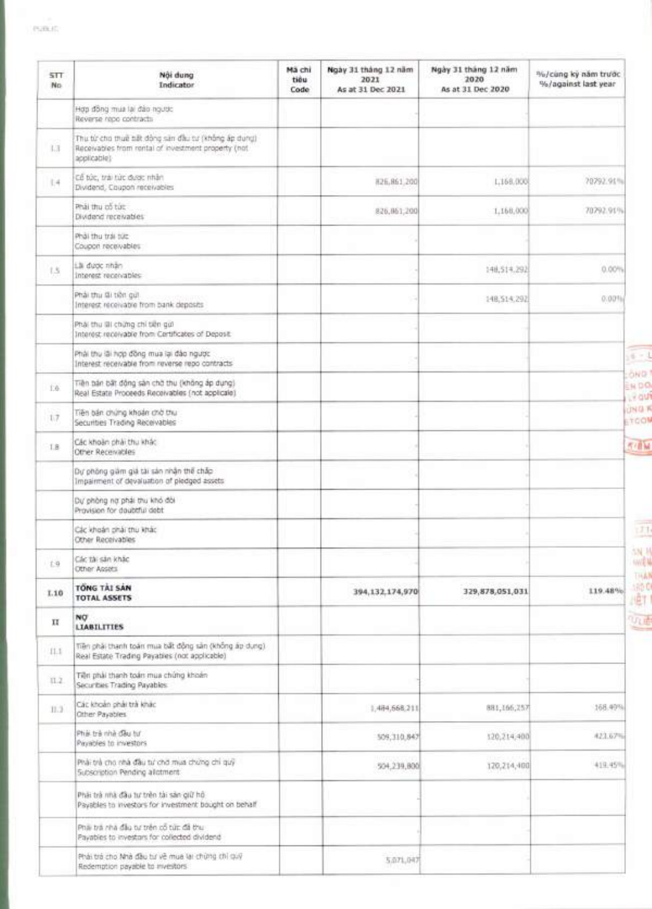r.

| <b>STT</b><br>No. | Nội dung<br>Indicator                                                                                                      | Mã chi<br>tiêu<br>Code | Ngày 31 tháng 12 năm<br>2021<br>As at 31 Dec 2021 | Ngày 31 tháng 12 năm<br>2020<br>As at 31 Dec 2020 | %/cung ky năm trước<br>%/against last year |
|-------------------|----------------------------------------------------------------------------------------------------------------------------|------------------------|---------------------------------------------------|---------------------------------------------------|--------------------------------------------|
|                   | Hợp đồng mua lai đảo ngược<br>Reverse repo contracts                                                                       |                        |                                                   |                                                   |                                            |
| L3                | Thu từ cho thuế tiết động sản đầu tư (không ấp dụng)<br>Receivables from rontal of investment property (not<br>applicable) |                        |                                                   |                                                   |                                            |
| 1.4               | Có túc, trài túc dước nhân<br>Dividend, Coupon receivables                                                                 |                        | 826.861,200                                       | 1,168,000                                         | 70792.91%                                  |
|                   | Phải thu cổ tức<br>Dividend receivables                                                                                    |                        | 826, 861, 200                                     | 1,168,000                                         | 70792.91%                                  |
|                   | Phải thu trái tức<br>Coupon receivables                                                                                    |                        |                                                   |                                                   |                                            |
| 1.5               | Lài dước nhân<br>Intenest receivables                                                                                      |                        |                                                   | 148,514,292                                       | 0.00%                                      |
|                   | Phải thu Gi tiên gui<br>Interest receivable from bank deposits                                                             |                        |                                                   | 148,514,292                                       | 0.00111                                    |
|                   | Phải thu lãi chứng chỉ tiền giớ<br>Interest receivable from Certificates of Deposit:                                       |                        |                                                   |                                                   |                                            |
|                   | Phải thu lãi hợp đồng mua lại đào ngược<br>Interest receivable from reverse repo contracts                                 |                        |                                                   |                                                   |                                            |
| 1.6               | Tiền bản bất động sản chở thu (không áp dụng)<br>Real Estate Proceeds Receivables (not applicale)                          |                        |                                                   |                                                   | EN DO                                      |
| 1.7               | Tiền bản chứng khoản chở thu<br>Securities Trading Receivables                                                             |                        |                                                   |                                                   | <b>UNG K</b><br>STOOM                      |
| $1.8 -$           | Các khoản phải thu khác<br>Other Receivables                                                                               |                        |                                                   |                                                   |                                            |
|                   | Dự phòng giảm giá tài sản nhận thế chấp<br>Impairment of devaluation of pledged assets                                     |                        |                                                   |                                                   |                                            |
|                   | Dự phòng nơ phái thu khó đòi<br>Provision for doubtful debt                                                                |                        |                                                   |                                                   |                                            |
|                   | Các khoản phải thu khác<br>Other Receivables                                                                               |                        |                                                   |                                                   |                                            |
| 5.9               | Các tái sán khác<br>Other Assets                                                                                           |                        |                                                   |                                                   |                                            |
| I.10              | TONG TAI SAN<br><b>TOTAL ASSETS</b>                                                                                        |                        | 394,132,174,970                                   | 329,878,051,031                                   | 119.48%                                    |
| п                 | NO<br><b>LIABILITIES</b>                                                                                                   |                        |                                                   |                                                   |                                            |
| 11.1              | Tiền phải thanh toán mua bất động sản (không áp dụng)<br>Real Estate Trading Payables (not applicable)                     |                        |                                                   |                                                   |                                            |
| 11.2              | Tiện phải thanh toán mua chứng khoản<br>Securities Trading Payables                                                        |                        |                                                   |                                                   |                                            |
| 11.3.             | Các khoản phải trà khác<br>Other Payables                                                                                  |                        | 1,484,668,211                                     | 881,166,257                                       | 168.49%                                    |
|                   | Phái trà nhà đầu từ<br>Payables to investors.                                                                              |                        | 509, 310, 847                                     | 120,214,400                                       | 423.67%                                    |
|                   | Phải trẻ cho nhà đầu tư chở mua chúng chi quỹ<br>Subscription Pending allotment                                            |                        | 504,239,800                                       | 120,214,400                                       | 419.45%                                    |
|                   | Phái trà nhà đầu tư trên tài sản giữ hồ<br>Payables to investors for investment bought on behalf                           |                        |                                                   |                                                   |                                            |
|                   | Phái trá rha đầu tư trên cổ từc đã thu-<br>Payables to investors for collected dividend                                    |                        |                                                   |                                                   |                                            |
|                   | Phải trả cho Nhà đầu tư về mua lại chứng chỉ quỹ<br>Redemption payable to investors:                                       |                        | 5.071,047                                         |                                                   |                                            |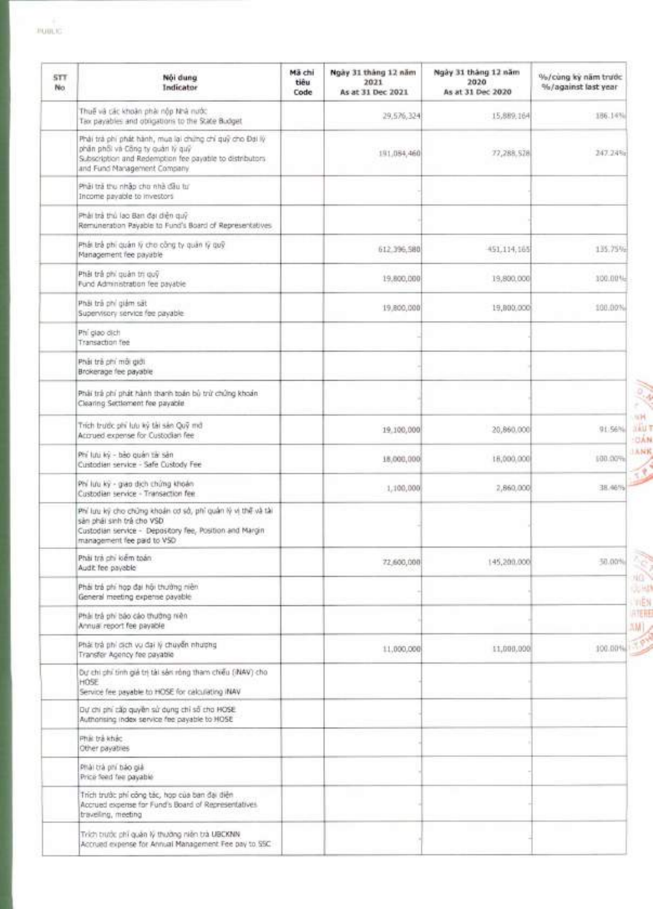| <b>STT</b><br>No. | Nói dung<br>Indicator                                                                                                                                                                  | Mã chi<br>tiêu<br>Code | Ngày 31 tháng 12 năm<br>2021<br>As at 31 Dec 2021 | Ngày 31 tháng 12 năm<br>2020<br>As at 31 Dec 2020 | %/cung ky nam trước<br>%/against last year |
|-------------------|----------------------------------------------------------------------------------------------------------------------------------------------------------------------------------------|------------------------|---------------------------------------------------|---------------------------------------------------|--------------------------------------------|
|                   | Thuế và các khoản phải nộp Nhà nước.<br>Tax payables and obligations to the State Budget                                                                                               |                        | 29.576.324                                        | 15,889.164                                        | 186.14%                                    |
|                   | Phải trà phi phát hành, mua lại chứng chi quỹ cho Đại lý<br>phần phối và Công ty quản lý quỹ<br>Subscription and Redemption fee payable to distributors<br>and Fund Maragement Company |                        | 191,084,460                                       | 77,288,528                                        | 247.24%r                                   |
|                   | Phải trả thu nhập cho nhà đầu tư<br>Income payable to investors                                                                                                                        |                        |                                                   |                                                   |                                            |
|                   | Phải trả thủ lạo Bạn đại diện quỹ<br>Remuneration Payable to Fund's Board of Representatives                                                                                           |                        |                                                   |                                                   |                                            |
|                   | Phái trả phí quản lý cho công ty quản lý quỹ<br>Management fee payable                                                                                                                 |                        | 612.396,580                                       | 451,114,165                                       | 135.75%                                    |
|                   | Phải trả phi quản trị quỹ<br>Fund Administration fee payable                                                                                                                           |                        | 19,800,000                                        | 19,890,000                                        | 300.00%                                    |
|                   | Phải trả phí giám sát<br>Supervisory service fee payable                                                                                                                               |                        | 19,800,000                                        | 19,890,000                                        | 100.00%                                    |
|                   | Phi glap dich<br>Transaction fee                                                                                                                                                       |                        |                                                   |                                                   |                                            |
|                   | Phải trả chí môi giới<br>Brokerage fee payable                                                                                                                                         |                        |                                                   |                                                   |                                            |
|                   | Phải trả phí phát hành thanh toán bộ trừ chứng khoán<br>Clearing Settlement fee payable                                                                                                |                        |                                                   |                                                   |                                            |
|                   | Trịch trước phi lưu ký tài sán Quỹ mớ<br>Accrued expense for Custodian fee                                                                                                             |                        | 19,100,000                                        | 20,860.000                                        | 91.56%                                     |
|                   | Phi lưu kỳ - bảo quản tài sản<br>Custodian service - Safe Custody Fee                                                                                                                  |                        | 18,000,000                                        | 18,000,000                                        | 100.00%                                    |
|                   | Phi lưu kỳ - giao dịch chứng khoản<br>Custodian service - Transaction fee                                                                                                              |                        | 1,100,000                                         | 2,860,000                                         | 38.46%                                     |
|                   | Phí lưu kỹ cho chúng khoản cơ sở, phí quân lý vị thế và tài<br>sản phái sinh trả cho VSD<br>Custodian service - Depository fee, Position and Margin<br>management fee paid to VSD      |                        |                                                   |                                                   |                                            |
|                   | Phải trà chi kiểm toàn:<br>Audit fee payable                                                                                                                                           |                        | 72,600,000                                        | 145,200,000                                       | 50.00%                                     |
|                   | Phải trả phi họp đại hội thường niên<br>General meeting expense payable.                                                                                                               |                        |                                                   |                                                   |                                            |
|                   | Phái trả phi báo cáo thường niên<br>Annual report fee payable                                                                                                                          |                        |                                                   |                                                   |                                            |
|                   | Phái trả phi dịch vụ đại lý chuyển nhượng<br>Transfer Agency fee payable                                                                                                               |                        | 11,000,000                                        | 11,000.000                                        | 100.00%                                    |
|                   | Dự chi chi tinh giá trị tài sản rông tham chiếu (INAV) cho<br>HOSE<br>Service fee payable to HOSE for calculating INAV                                                                 |                        |                                                   |                                                   |                                            |
|                   | Dự chi phi cấp quyền sử dụng chỉ số cho HOSE<br>Authorising index service fee payable to HOSE                                                                                          |                        |                                                   |                                                   |                                            |
|                   | Phili trailchac<br>Other payables                                                                                                                                                      |                        |                                                   |                                                   |                                            |
|                   | Phải trà phí báo giái<br>Price feed fee payable                                                                                                                                        |                        |                                                   |                                                   |                                            |
|                   | Trích trước phí công tác, họp của ban đại diện<br>Accrued expense for Fund's Board of Representatives.<br>traveling, meeting                                                           |                        |                                                   |                                                   |                                            |
|                   | Trích trước phí quân lý thuông niên trà UBCKNN<br>Account expense for Annual Management Fee pay to SSC                                                                                 |                        |                                                   |                                                   |                                            |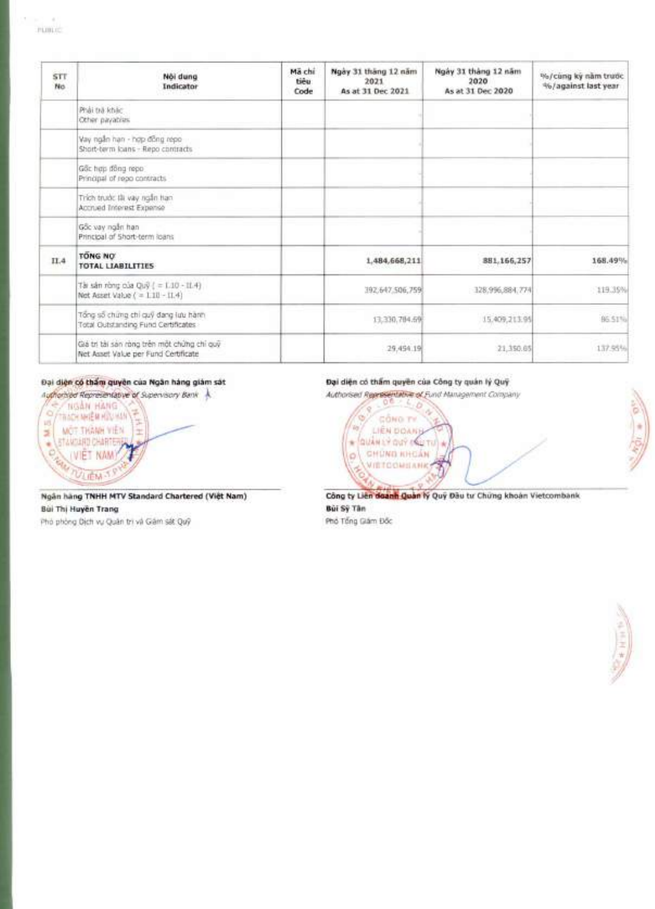| STT<br>No. | Női dung<br>Indicator                                                               | Mã chi<br>tieu.<br>Code | Ngày 31 tháng 12 năm<br>2021<br>As at 31 Dec 2021 | Ngày 31 tháng 12 năm<br>2020<br>As at 31 Dec 2020 | %/cung ky nam trutic<br>46/against last year |
|------------|-------------------------------------------------------------------------------------|-------------------------|---------------------------------------------------|---------------------------------------------------|----------------------------------------------|
|            | Phải trà khác<br>Other payables                                                     |                         |                                                   |                                                   |                                              |
|            | Vay ngân hạn - hợp đồng répo<br>Short-berm loans - Repo contracts                   |                         |                                                   |                                                   |                                              |
|            | Gồc hợp đồng repo:<br>Principal of repo contracts                                   |                         |                                                   |                                                   |                                              |
|            | Trich trude tli vay right han<br>Accrued Interest Expense                           |                         |                                                   |                                                   |                                              |
|            | Gốc vay ngắn han<br>Principal of Short-term loans                                   |                         |                                                   |                                                   |                                              |
| IL4        | <b>TONG NO</b><br><b>TOTAL LIABILITIES</b>                                          |                         | 1,484,668,211                                     | 881,166,257                                       | 168.49%                                      |
|            | Tài sán ròng ola Quỹ ( = 1.10 - 11.4)<br>Net Asset Value ( = 1.10 - 11.4)           |                         | 392.647.506,759                                   | 328,996,884,774                                   | 119.35%                                      |
|            | Tổng số chứng chỉ quỹ đang lưu hành<br>Total Clubstanding Fund Certificates         |                         | 13,330,784.6%                                     | 15.409,213.95                                     | 86.51%                                       |
|            | Giá trị tài sản ròng trên một chứng chỉ quỹ<br>Net Asset Value per Fund Certificate |                         | 29,454.19                                         | 21,350.65                                         | 137.95%                                      |

#### Đại diện có thẩm quyền của Ngân hàng giảm sát

Authorities Representative of Supervisory Bank NGAN HANG  $\sim$ TRACK MIEN HOU HAN 15 MOT THANH VIEN ä **STAKOLATO CHARTER** ¥. (VIÊT NAM) C **VI IEM** 

Ngân hàng TNHH MTV Standard Chartered (Việt Nam) Bùi Thị Huyền Trang Phò phòng Dịch vụ Quân trị và Giám sát Quỹ

#### Đại diện có thẩm quyền của Công ty quản lý Quỹ

Authorised Representative of Fund Management Company



Công ty Liên doanh Quản lý Quý Đầu tư Chứng khoản Vietcombank Bùi Sỹ Tân

Phố Tổng Giám Đốc

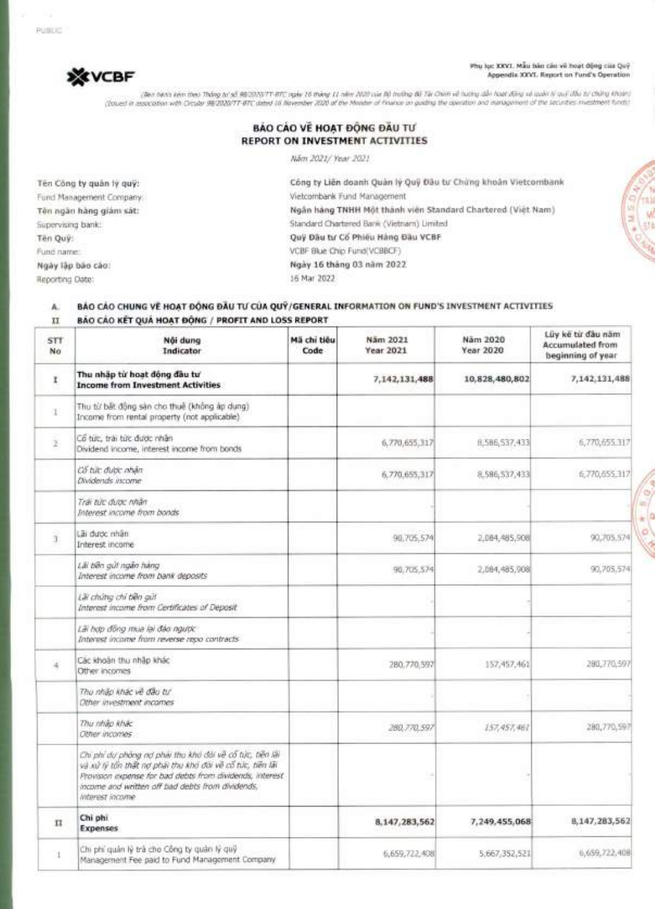PUBLIC



Phu lạc XXVI. Mẫu bản cán về hoạt động của Quỹ **Appendix XXVI. Report on Fund's Operation** 

(Ban harm kem then Thiing [1/55 98/2020/7T-8TC ngay 16 thong 11 nom 2020 cUa Bu truking BO Tai Chinh ve hudng dan hoot Ong va guan ly guy dau chohg khoan) (Issued in association with Circular 98/2020/7T-BTC dated 16 November 2020 of the Minister of Finance on guiding the operation and management of the securities investment funds)

### **BÁO CÁO VỀ HOAT ĐỒNG ĐẦU TƯ REPORT ON INVESTMENT ACTIVITIES**

Nam 2021/ Year 2021

Ten Công ty quân lý quỹ: Fund Management Company: **Ten ngan hang giam sat:**  Supervising bank: **Ten Quit:**  Fund name: **Ngay lap boo coo:**  Reporting Date:

Công ty Liên doanh Quân lý Quỹ Đầu tư Chứng khoản Vietcombank Vietcombank Fund Management **Ngfin hang TNHH Met thanh vien Standard Chartered (Viet Nam)**  Standard Chartered Bank (Vietnam) Limited **Quit Deu to Co Phieu Hang Dau VCBF**  VCBF Blue Chip Fund(VCBBCF) **Ngay 16 thong 03 nom 2022**  16 Mar 2022

#### A. BÁO CÁO CHUNG V**Ě HOAT ĐỒNG ĐẦU TƯ CỦA QUÝ/GENERAL INFORMATION** ON FUND'S INVESTMENT ACTIVITIES II **BAO CAO BET QUA HOAT DONG / PROFIT AND LOSS REPORT**

| <b>STT</b><br>No | Nội dung<br>Indicator                                                                                                                                                                                                                                     | Mã chi tiêu<br>Code | Näm 2021<br>Year 2021 | Näm 2020<br>Year 2020 | Lũy kế từ đầu năm<br><b>Accumulated from</b><br>beginning of year |
|------------------|-----------------------------------------------------------------------------------------------------------------------------------------------------------------------------------------------------------------------------------------------------------|---------------------|-----------------------|-----------------------|-------------------------------------------------------------------|
| 1                | Thu nhập từ hoạt động đầu tư<br><b>Income from Investment Activities</b>                                                                                                                                                                                  |                     | 7,142,131,488         | 10,828,480,802        | 7,142,131,488                                                     |
| 1                | Thụ từ bất động sản cho thuế (không áp dụng)<br>Income from rental property (not applicable)                                                                                                                                                              |                     |                       |                       |                                                                   |
| ž.               | Co turc, trai turc duroc nhân<br>Dividend income, interest income from bonds                                                                                                                                                                              |                     | 6,770,655,317         | 8,586,537,433         | 6,770,655.317                                                     |
|                  | Cổ từc được nhân<br>Dividends income-                                                                                                                                                                                                                     |                     | 6,770,655,317         | 8,586,537,433         | 6,770,655.317                                                     |
|                  | Trai tức được nhân<br>Interest income from bonds                                                                                                                                                                                                          |                     |                       |                       |                                                                   |
| ï                | Lai duoc nhân.<br>Interest income                                                                                                                                                                                                                         |                     | 90,705,574            | 2,084,485,908         | 90,705,574                                                        |
|                  | Lili biki qut ngibi hang<br>Interest income from bank deposits                                                                                                                                                                                            |                     | 90,705.574            | 2,084,485,908         | 90.705.574                                                        |
|                  | Elii chứng chỉ tiền giới<br>Interest income from Certificates of Deposit                                                                                                                                                                                  |                     |                       |                       |                                                                   |
|                  | Lài hợp đồng mua lại đảo ngược<br>Interest income from reverse repo contracts                                                                                                                                                                             |                     |                       |                       |                                                                   |
| ä                | Các khoán thu nhập khác<br>Other incomes                                                                                                                                                                                                                  |                     | 280.770,597           | 157, 457, 461         | 280, 270, 597                                                     |
|                  | Thu nhấp khác về đầu tự<br>Other investment incomes                                                                                                                                                                                                       |                     |                       |                       |                                                                   |
|                  | Thu nhão khác<br>Other incomes                                                                                                                                                                                                                            |                     | 280,770,597           | 157,457,461           | 280,770,597                                                       |
|                  | Chi phi dự phòng nơ phái thu khó đài về cố túc, tiên lài<br>và xử tỷ tiền thất nơ phải thu khó đòi về cổ tức, tiền lãi<br>Provision expanse for bad dabts from dividends, interest<br>income and written off bad debts from dividends.<br>Interest income |                     |                       |                       |                                                                   |
| $_{\rm II}$      | Chi phi<br><b>Expenses</b>                                                                                                                                                                                                                                |                     | 8,147,283,562         | 7,249,455,068         | 8,147,283,562                                                     |
| t                | Chi phí quản lý trả cho Công ty quân lý quỹ<br>Management Fee paid to Fund Management Company                                                                                                                                                             |                     | 6,659,722,408         | 5,667,352,521         | 6,659,722,408                                                     |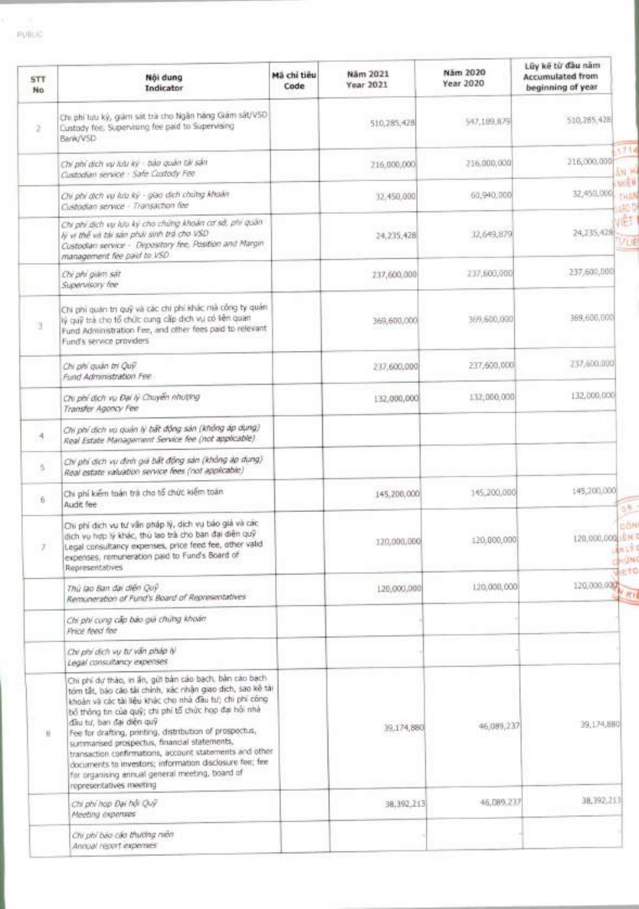| <b>STT</b><br>No.  | Nôi dung<br>Indicator                                                                                                                                                                                                                                                                                                                                                                                                                                                                                                                                                               | Mã chi tiêu<br>Code | Näm 2021<br>Year 2021 | Näm 2020<br>Year 2020 | Lũy kế từ đầu năm<br><b>Accumulated from</b><br>beginning of year |                                                |
|--------------------|-------------------------------------------------------------------------------------------------------------------------------------------------------------------------------------------------------------------------------------------------------------------------------------------------------------------------------------------------------------------------------------------------------------------------------------------------------------------------------------------------------------------------------------------------------------------------------------|---------------------|-----------------------|-----------------------|-------------------------------------------------------------------|------------------------------------------------|
| $\boldsymbol{2}$   | Chi phi lutu kỳ, giảm sát trà cho Ngân hằng Giám sát/V50<br>Custody fee, Supervising fee paid to Supervising<br>Bank/VSD                                                                                                                                                                                                                                                                                                                                                                                                                                                            |                     | 510,285,428           | 547,189,879           | 510,285,428                                                       |                                                |
|                    | Chí phí dịch vụ lưu ký - bảo quân tài sản<br>Custodian service - Safe Custody Fee                                                                                                                                                                                                                                                                                                                                                                                                                                                                                                   |                     | 216,000,000           | 216.000,000           | 216,000.000                                                       | 1714<br>规则                                     |
|                    | Chi phi dich vu lutu ký - giao dịch chútng khoản<br>Custodian service - Transaction fee                                                                                                                                                                                                                                                                                                                                                                                                                                                                                             |                     | 32.450.000            | 60,940,000            | 32,450,000                                                        | 別点量<br>THEN<br>$130 - 0$                       |
|                    | Chi phí dịch vụ luu ký cho chứng khoản cơ sở, phí quân<br>lý vị thể và tài sản phải sinh trả cho VSD<br>Custodian service - Depository fee, Position and Margin<br>management fee paid to VSD                                                                                                                                                                                                                                                                                                                                                                                       |                     | 24,235,428            | 32,649,879            | 24,235,428                                                        | <b>VÊT</b><br>VUE                              |
|                    | Chi phi giám sát<br>Supervisory fee                                                                                                                                                                                                                                                                                                                                                                                                                                                                                                                                                 |                     | 237,600.000           | 237,600,000           | 237.600,000                                                       |                                                |
| ä                  | Chi phí quản trị quỹ và các chi phí khác mà công ty quản<br>lý quỹ trà cho tổ chức cung cấp dịch vụ có liên quan<br>Fund Administration Fee, and other fees paid to relevant<br>Fund's service providers                                                                                                                                                                                                                                                                                                                                                                            |                     | 369,600,000           | 369,600,000           | 369,600,000                                                       |                                                |
|                    | Chi phi quản trị Quỹ<br>Fund Administration Fee-                                                                                                                                                                                                                                                                                                                                                                                                                                                                                                                                    |                     | 237,600,000           | 237,600,000           | 237,600.000                                                       |                                                |
|                    | Chi phí dịch vụ Đại lý Chuyển nhường<br>Transfer Agency Fee                                                                                                                                                                                                                                                                                                                                                                                                                                                                                                                         |                     | 132,000,000           | 132,000,000           | 132,000,000                                                       |                                                |
| $\mathcal{A}$      | Chi phí dịch vu quản lý bất động sản (không áp dụng)<br>Real Estate Management Service fee (not applicable)                                                                                                                                                                                                                                                                                                                                                                                                                                                                         |                     |                       |                       |                                                                   |                                                |
| $\leq$             | Chi phi dịch vụ định giá bất động sản (không áp dụng)<br>Real estate valuation service fees (not applicable)                                                                                                                                                                                                                                                                                                                                                                                                                                                                        |                     |                       |                       |                                                                   |                                                |
| $\hat{\mathbf{b}}$ | Chi phí kiếm toàn trà cho tổ chức kiếm toán<br>Audit fee                                                                                                                                                                                                                                                                                                                                                                                                                                                                                                                            |                     | 145,200,000           | 145,200,000           | 145,200,000                                                       |                                                |
|                    | Chi phí dịch vụ tư vấn pháp lý, dịch vụ bảo giả và các<br>dịch vụ hợp lý khác, thù lạo trà cho ban đại diện quỹ<br>Legal consultancy expenses, price feed fee, other valid<br>expenses, remuneration paid to Fund's Board of<br>Representatives                                                                                                                                                                                                                                                                                                                                     |                     | 120,000,000           | 120:000.000           | 120,000,000 : ENT                                                 | <b>ANGERS</b><br><b>BACINE</b><br><b>AretO</b> |
|                    | Thủ lạo Ban dai diện Quỹ<br>Remuneration of Fund's Board of Representatives                                                                                                                                                                                                                                                                                                                                                                                                                                                                                                         |                     | 120,000,000           | 120,008,000           | 120,000.000                                                       |                                                |
|                    | Chi phi cung cấp bảo giá chứng khoản<br>Price feed fee                                                                                                                                                                                                                                                                                                                                                                                                                                                                                                                              |                     |                       |                       |                                                                   |                                                |
|                    | Chi phi dich vụ tư văn pháp lý<br>Legal consultancy expenses                                                                                                                                                                                                                                                                                                                                                                                                                                                                                                                        |                     |                       |                       |                                                                   |                                                |
| 在                  | Chi phi dự tháo, in ân, gửi bản cáo bạch, bản cáo bạch<br>tóm tất, báo cáo tài chính, xác nhận giao dịch, sao kê tài<br>khoản và các tài liệu khác cho nhà đầu tu; chi phí công<br>bố thông tin của quỹ; chi phí tổ chức họp đại hồi nhà<br>dau tu, ban dai diện quy<br>Fee for drafting, printing, distribution of prospectus,<br>summarised prospectus, financial statements,<br>transaction confirmations, account statements and other<br>documents to investors; information disclosure fee; fee<br>for organising annual general meeting, board of<br>representatives meeting |                     | 39.174,880            | 46,089,237            | 39,174,880                                                        |                                                |
|                    | Chi phi hop Dai hội Quỹ<br>Meeting exponses                                                                                                                                                                                                                                                                                                                                                                                                                                                                                                                                         |                     | 38, 392, 213          | 46,089,237            | 38,392,213                                                        |                                                |
|                    | Chi phi bao cáo thương niên<br>Annual report expenses                                                                                                                                                                                                                                                                                                                                                                                                                                                                                                                               |                     |                       |                       |                                                                   |                                                |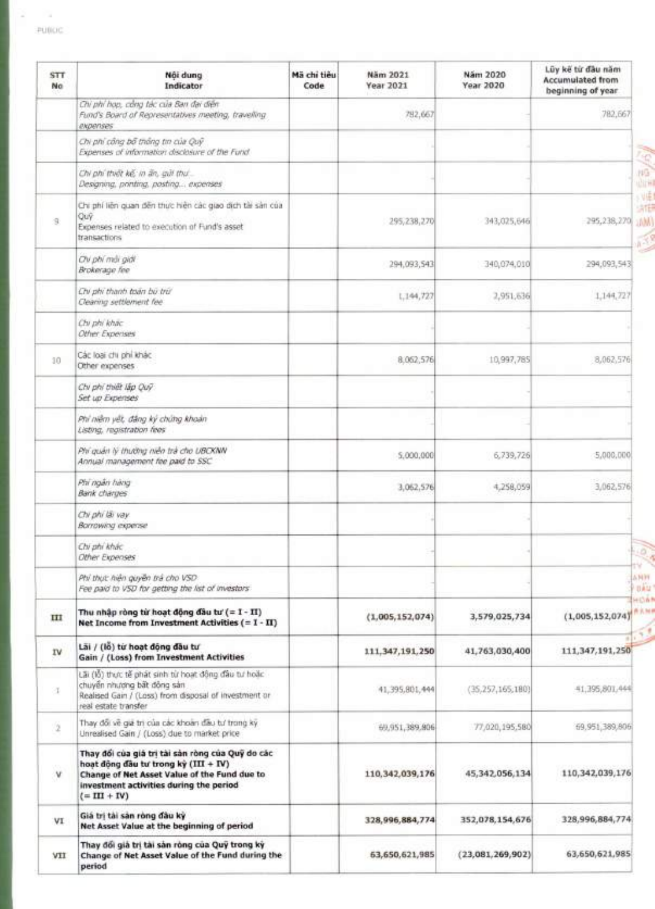2

| <b>STT</b><br>No | Nội dung<br>Indicator                                                                                                                                                                                 | Mã chi tiêu<br>Code | Năm 2021<br>Year 2021 | Nám 2020<br>Year 2020 | Lũy kế từ đầu năm<br><b>Accumulated from</b><br>beginning of year. |
|------------------|-------------------------------------------------------------------------------------------------------------------------------------------------------------------------------------------------------|---------------------|-----------------------|-----------------------|--------------------------------------------------------------------|
|                  | Chi phi họp, công tác của Ban đại điện<br>Fund's Board of Representatives meeting, travelling<br>expenses                                                                                             |                     | 782,667               |                       | 782,667                                                            |
|                  | Chi phi công bố thông tin của Quỹ<br>Expenses of information disclosure of the Fund                                                                                                                   |                     |                       |                       |                                                                    |
|                  | On phi thiết kế, in ấn, giời thứ.<br>Designing, printing, posting expenses                                                                                                                            |                     |                       |                       |                                                                    |
| $\mathcal{Q}$    | Chi phí liên quan đến thực hiện các giao dịch tài sản của<br>Quỹ.<br>Expenses related to execution of Fund's asset<br>transactions                                                                    |                     | 295, 238, 270         | 343,025,646           | 295,238,270                                                        |
|                  | Ov phi mái giál<br>Brokerage fee                                                                                                                                                                      |                     | 294,093,543           | 340,074,010           | 294,093,543                                                        |
|                  | Chi phi thanh toán bù trừ<br>Clearing settlement fee                                                                                                                                                  |                     | 1,144,727             | 2,951,636             | 1,144,727                                                          |
|                  | Chi phi khac<br>Other Expenses                                                                                                                                                                        |                     |                       |                       |                                                                    |
| 30               | Các loại chi phi khác<br>Other expenses                                                                                                                                                               |                     | 8.062,576             | 10,997,785            | 8,062,576                                                          |
|                  | Chi phi thiết lấp Quỹ<br>Set up Expenses                                                                                                                                                              |                     |                       |                       |                                                                    |
|                  | Phi niêm yết, đáng ký chứng khoản<br>Listing, registration fees                                                                                                                                       |                     |                       |                       |                                                                    |
|                  | Phi quản lý thường niên trà cho UBCKNN<br>Annual management fee paid to SSC                                                                                                                           |                     | 5,000,000             | 6,739,726             | 5,000,000                                                          |
|                  | Phi ngân hàng<br><b>Bank</b> charges                                                                                                                                                                  |                     | 3,062,576             | 4,258,059             | 3,062,576                                                          |
|                  | Chi phi lài vay.<br>Borrowing expense                                                                                                                                                                 |                     |                       |                       |                                                                    |
|                  | Chi phi khác<br>Other Expenses                                                                                                                                                                        |                     |                       |                       |                                                                    |
|                  | Phi thực hiện quyền trả cho VSD.<br>Fee paid to VSD for getting the list of investors                                                                                                                 |                     |                       |                       |                                                                    |
| ш                | Thu nhập ròng từ hoạt động đầu tư (= I - II)<br>Net Income from Investment Activities $( = 1 - II)$                                                                                                   |                     | (1,005,152,074)       | 3,579,025,734         | (1,005,152,074)                                                    |
| IV               | Lãi / (lỗ) từ hoạt động đầu tư<br>Gain / (Loss) from Investment Activities                                                                                                                            |                     | 111, 347, 191, 250    | 41,763,030,400        | 111,347,191,250                                                    |
| ÷                | Lãi (lỗ) thực tế phát sinh từ hoạt động đầu tư hoặc<br>chuyển nhượng bất đông sản<br>Realised Gain / (Loss) from disposal of investment or<br>real estate transfer                                    |                     | 41,395,801,444        | (35, 257, 165, 180)   | 41,395,801,444                                                     |
| $\,2$            | Thay đổi về giá trị của các khoản đầu tư trong kỳ.<br>Unrealised Gain / (Loss) due to market price                                                                                                    |                     | 69,951,389,806        | 77,020,195,580        | 69.951,389,806                                                     |
| ٧                | Thay đối của giá trị tài sản ròng của Quỹ do các<br>hoạt động đầu tư trong kỳ (III + IV)<br>Change of Net Asset Value of the Fund due to<br>investment activities during the period<br>$(= III + IV)$ |                     | 110,342,039,176       | 45,342,056,134        | 110,342,039,176                                                    |
| VI               | Giá trị tài sản ròng đầu kỳ<br>Net Asset Value at the beginning of period                                                                                                                             |                     | 328,996,884,774       | 352,078,154,676       | 328,996,884,774                                                    |
| VII              | Thay đổi giả trị tài sản ròng của Quỹ trong kỳ<br>Change of Net Asset Value of the Fund during the<br>period                                                                                          |                     | 63,650,621,985        | (23,081,269,902)      | 63,650,621,985                                                     |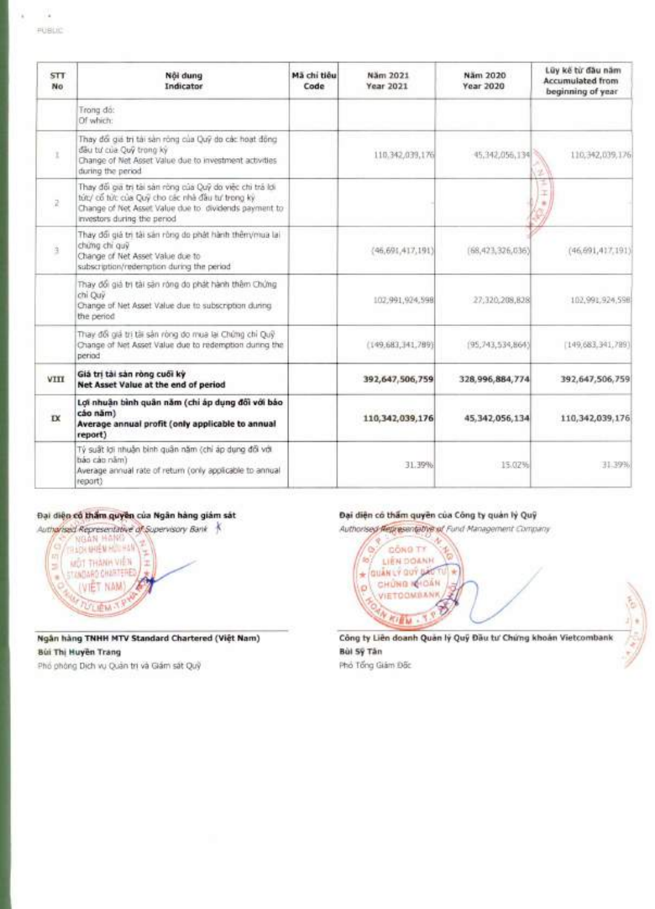| <b>STT</b><br>No | Nôi dung<br>Indicator                                                                                                                                                                                | Mã chi tiêu<br>Code | Näm 2021<br>Year 2021 | Näm 2020<br>Year 2020 | Lüy kế từ đầu năm<br><b>Accumulated from</b><br>beginning of year |
|------------------|------------------------------------------------------------------------------------------------------------------------------------------------------------------------------------------------------|---------------------|-----------------------|-----------------------|-------------------------------------------------------------------|
|                  | Trong do:<br>Of which:                                                                                                                                                                               |                     |                       |                       |                                                                   |
|                  | Thay đổi giá trị tài sản rông của Quỹ do các hoạt động<br>dâu tư của Quỹ trong ký<br>Change of Net Asset Value due to investment activities<br>during the period                                     |                     | 110.342,039,176       | 45.342,056,134        | 110,342,039,176                                                   |
| ä.               | Thay đối gia trị tài sản ròng của Quỹ do việc chi trá lợi<br>tức/ cổ tức của Quỹ cho các nhà đầu tư trong kỳ<br>Change of Net Asset Value due to dividends payment to<br>investors during the period |                     |                       |                       |                                                                   |
| ä                | Thay đổi giá trị tậi sản ròng do phát hành thêm/mua lai<br>chứng chi quỹ<br>Change of Net Asset Value due to<br>subscription/redemption during the period                                            |                     | (46, 691, 417, 191)   | (68,423,326,036)      | (46,691,417,191)                                                  |
|                  | Thay đổi giả trị tài sản róng do phát hành thêm Chứng<br>chi Ouv<br>Change of Net Asset Value due to subscription during<br>the period                                                               |                     | 102,991,924,598       | 27,320,209,828        | 102,991,924,598                                                   |
|                  | Thay đổi giá trị tái sản ròng do mua lại Chúng chỉ Quỹ<br>Change of Net Asset Value due to redemption during the<br>period                                                                           |                     | (149.683, 141.789)    | (95, 743, 534, 864)   | [149, 683, 341, 789]                                              |
| VIII             | Giá trị tài sản ròng cuối kỳ<br>Net Asset Value at the end of period                                                                                                                                 |                     | 392,647,506,759       | 328,996,884,774       | 392, 647, 506, 759                                                |
| $\mathbf{X}$     | Lợi nhuận bình quân năm (chi áp dụng đối với báo<br>cáo năm)<br>Average annual profit (only applicable to annual<br>report)                                                                          |                     | 110, 342, 039, 176    | 45,342,056,134        | 110,342,039,176                                                   |
|                  | Tỷ suất lợi nhuận bình quân năm (chỉ áp dụng đối với<br>báo cáo năm)<br>Average annual rate of return (only applicable to annual<br>report)                                                          |                     | 31.39%                | 15.02%                | 31.39%                                                            |

## Đại diện cổ thẩm quyền của Ngân hàng giám sát

Authorised Representative of Supervisory Bank 1



**Ngan hang TNHH MTV Standard Chartered (Viet Nam)**  Bui **Thi Huyan Trang** 

Phó phòng Dich vu Quân trị và Giám sát Quỹ

## Dại diện có thẩm quyền của Công ty quản lý Quỹ

Authorised Representative of Fund Management Company

**O' GONG TY co LIEN DOANH \* (WAN Li QV( CHONG**  ö **VIETCOMBANK A Kit IM** 

Công ty Liên doanh Quân lý Quỹ Đầu tư Chứng khoản Vietcombank **Bal S9 Tan** 

大家

Phó Tổng Giám Đấc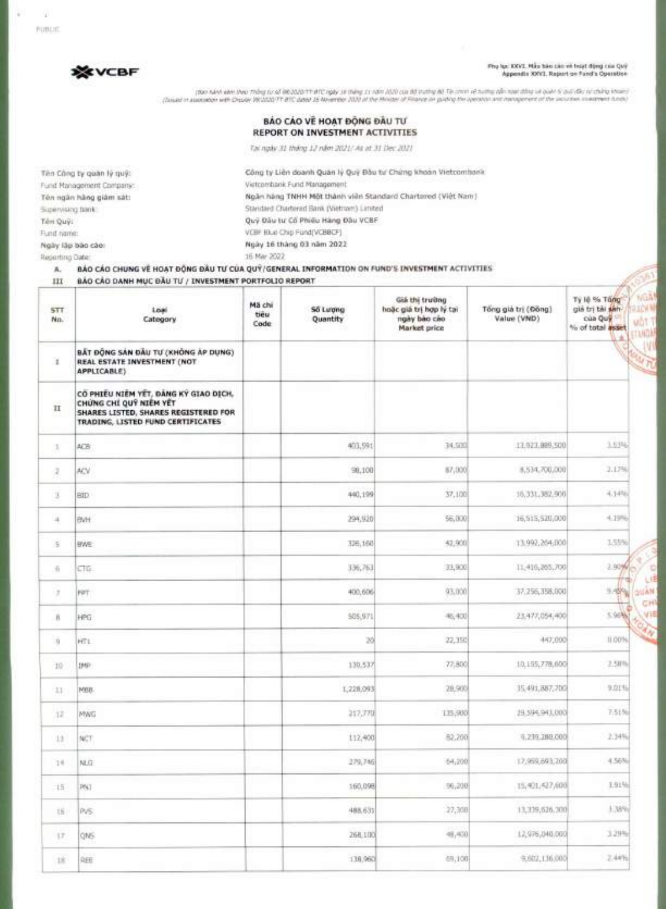**Phu Mc XXVI. Mau bao coo vé haat Ong dm Qui, Appendix XXVI. Report on Fund's Operation** 



mon AAN at the plan of REWALD THIS play is thing it was into AUTO the BETRING AT a more than the weather the w<br>(his the was also send to the product of France AND at the Milance in France in the plan on the planter of the

#### BÁO CÁO VỀ HOẠT ĐỘNG ĐẦU TƯ **REPORT ON INVESTMENT ACTIVITIES**

Tai ngay 31 thing 12 num 2021/ As of 31 Dec 2021

**Ten C8ng ty quart 19 qu9: Cong ty Lien doanh Quan ly Qu9 Dau tu' ChUng khoan Vietcombank**  Fund Management Company: Vietcombank Fund Management **Ten ngan hang giam sat: Ngan hang TNHH Mot thanh vien Standard Chartered (Viet Nam)**  Supervising bank: Standard Chartered Bank (Vietnam) Limited Tên Quỹ: **Quỹ Đău tu Cổ Phiêu Hàng Đầu VCBF** Fund name: VCBF Blue Chip Fund(VCBBCF)

**Ngay lap bao coo: Ngay 16 thong 03 nom 2022**  Reporting Date: 16 Mar 2022

### **A. BAO CAO CHUNG VE HOAT DOG** DAU TU **CUA QUY/GENERAL INFORMATION ON FUND'S INVESTMENT ACTIVITIES**

III **BAO** CAO **DANH MUC DAU Tlf / INVESTMENT PORTFOLIO REPORT** 

| Mã chi<br>tieu<br>Code                                                        | Số Lượng<br>Quantity | Giá thị trường<br>hoặc giá trị hợp lý tại<br>ngày bào cáo | Tổng giá trị (Đông) | Tý lệ % Tông<br>giá trị tài sán- |
|-------------------------------------------------------------------------------|----------------------|-----------------------------------------------------------|---------------------|----------------------------------|
|                                                                               |                      | Market price                                              | Value (VND)         | của Quy<br>% of total asset      |
| BẤT ĐỘNG SẢN ĐẦU TƯ (KHÔNG ẤP DỤNG)                                           |                      |                                                           |                     |                                  |
| CO PHIEU NIEM YET, DANG KY GIAO DICH,<br>SHARES LISTED, SHARES REGISTERED FOR |                      |                                                           |                     |                                  |
|                                                                               | 403,591              | 34,500                                                    | 13,923,889,500      | 3.53%                            |
|                                                                               | 98,100               | 87,000                                                    | 8,534,700,000       | 2.17%                            |
|                                                                               | 440,199              | 37,100                                                    | 15, 331, 382, 900   | 4.14%                            |
|                                                                               | 294,920              | 56,000                                                    | 16,919,520,000      | $+19%$                           |
|                                                                               | 326,160              | 42,900                                                    | 13.992.264.800      | 1.55%                            |
|                                                                               | 336,763              | 33,900                                                    | 11,416,265,700      | 2.90%                            |
|                                                                               | 400,606              | 93,000                                                    | 37,256,358,000      | 9.45%                            |
|                                                                               | \$85,971             | 46,400                                                    | 23,477,054,400      | 5.96%                            |
|                                                                               | 30                   | 22, 150                                                   | 447,000             | 0.00%                            |
|                                                                               | 130.537              | 77,800                                                    | 10,195,778,600      | 2.5H%                            |
|                                                                               |                      | 28,900                                                    | 15,491,887,700      | 9.01%                            |
|                                                                               |                      | 135,900                                                   | 19, 1945, 943, 000  | 7:51%                            |
|                                                                               |                      | 82,200                                                    | 9.239.280.000       | 2.34%                            |
|                                                                               |                      | 64,200                                                    | 12,959,693,200      | 4,56%                            |
|                                                                               |                      | 96,200                                                    | 15,401,427,600      | 3.91%                            |
|                                                                               | 488,631              | 27,300                                                    | 13,339,626,300      | 3.38%                            |
|                                                                               | 268,100              |                                                           |                     | 3.29%                            |
|                                                                               |                      |                                                           |                     |                                  |
|                                                                               |                      | 1,228,093<br>217,770<br>112,400<br>279,746<br>160,098     |                     | $= 4,400$<br>12,976,040,000      |

÷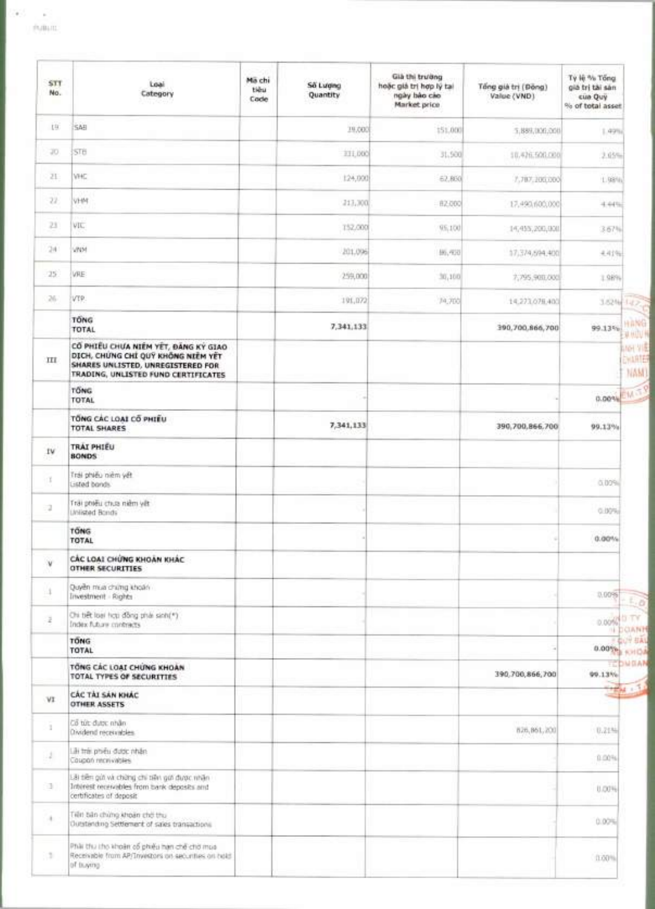y

1975

| <b>STT</b><br>No. | Loai<br>Category                                                                                                                                       | Ma chi<br>tiêu<br>Code | Số Lương<br>Quantity | Già thi trường<br>hoặc giá trị hợp lý tại<br>ngày bảo cáo<br>Market price | Tổng giá trị (Đông)<br>Value (VND) | Ty lệ % Tổng<br>già trị tài sản<br>cua Quy<br>% of total asset |
|-------------------|--------------------------------------------------------------------------------------------------------------------------------------------------------|------------------------|----------------------|---------------------------------------------------------------------------|------------------------------------|----------------------------------------------------------------|
| 19.               | SAB                                                                                                                                                    |                        | 19,000               | 151,000                                                                   | 5.889,000,000                      | 1.49%                                                          |
| 20.               | STB                                                                                                                                                    |                        | 331,000              | 31,500                                                                    | 10.426.500.000/                    | 2.05%                                                          |
| 21                | VHC                                                                                                                                                    |                        | 124,000              | 62,860                                                                    | 7.787.200.000                      | 1.98%                                                          |
| 22                | VH41                                                                                                                                                   |                        | $-213,300$           | 82,000                                                                    | 17,490,600,000                     | 4.44%                                                          |
| 23                | VIC                                                                                                                                                    |                        | 152,000              | 95,100                                                                    | 14,455,200,000                     | 3.67%                                                          |
| 24                | <b>VINM</b>                                                                                                                                            |                        | 201,006              | 据,和司                                                                      | 17,374,694,400                     | 4.41%                                                          |
| 25.               | <b>VRE</b>                                                                                                                                             |                        | 259,000              | 30,100                                                                    | 7,795,900,000                      | 1,9894                                                         |
| 26                | ivte.                                                                                                                                                  |                        | 191,072              | 74,700                                                                    | 14.273.078.400                     | 3.62% (42)                                                     |
|                   | TONG<br>TOTAL                                                                                                                                          |                        | 7,341,133            |                                                                           | 390,700,866,700                    | H A NG<br>99.13%<br>单脚叶                                        |
| Ш                 | CỔ PHIỀU CHƯA NIÊM YẾT, ĐĂNG KÝ GIAO<br>DICH, CHUNG CHI QUY KHÔNG NIÊM YẾT<br>SHARES UNLISTED, UNREGISTERED FOR<br>TRADING, UNLISTED FUND CERTIFICATES |                        |                      |                                                                           |                                    | <b>Analysis</b><br>CHARTE<br>NAM                               |
|                   | <b>TONG</b><br>TOTAL                                                                                                                                   |                        |                      |                                                                           |                                    | <b>0.00% EM TY</b>                                             |
|                   | TONG CAC LOAI CO PHIEU<br><b>TOTAL SHARES</b>                                                                                                          |                        | 7,341,133            |                                                                           | 390,700,866,700                    | 99.13%                                                         |
| İV                | TRAI PHIEU<br><b>BONDS</b>                                                                                                                             |                        |                      |                                                                           |                                    |                                                                |
| T.                | Trái phiếu niêm việt<br>Listed bands.                                                                                                                  |                        |                      |                                                                           |                                    | 0.00%                                                          |
| -2                | Trái phiếu chưa niềm vết<br>Unlisted Bonds                                                                                                             |                        |                      |                                                                           |                                    | 0.00%                                                          |
|                   | <b>TONG</b><br>TOTAL                                                                                                                                   |                        |                      |                                                                           |                                    | 0.00%                                                          |
| ¥                 | CÁC LOAI CHÚNG KHOAN KHÁC<br><b>OTHER SECURITIES</b>                                                                                                   |                        |                      |                                                                           |                                    |                                                                |
| 4                 | Quyền mùa chúng khoán<br>Investment - Rights                                                                                                           |                        |                      |                                                                           |                                    | 0.00%                                                          |
| ž                 | On tiết loại hợp đồng phái sinh(*)<br>Index future contracts                                                                                           |                        |                      |                                                                           |                                    | 0.00% D TV<br>COANT<br>18                                      |
|                   | <b>TONG</b><br>TOTAL                                                                                                                                   |                        |                      |                                                                           |                                    | <b>QUIP BAY</b><br>0.00%                                       |
|                   | TÔNG CÁC LOẠI CHỨNG KHOAN<br><b>TOTAL TYPES OF SECURITIES</b>                                                                                          |                        |                      |                                                                           | 390.700,866,700                    | EDWOAN<br>99.13%                                               |
| VI                | CÁC TÁI SÁN KHÁC<br><b>OTHER ASSETS</b>                                                                                                                |                        |                      |                                                                           |                                    |                                                                |
| 1                 | Cổ tức được nhân<br>Owidend receivables                                                                                                                |                        |                      |                                                                           | 826, 861, 200                      | 0.21%                                                          |
| 12                | Liki frei: phiếu được nhân<br>Coupon monivables                                                                                                        |                        |                      |                                                                           |                                    | 0.00%                                                          |
| э                 | Lãi tiên gửi và chứng chi tiên gửi được nhân<br>Interest receivables from bank deposits and<br>certificates of deposit                                 |                        |                      |                                                                           |                                    | 0.00%                                                          |
| ٠                 | Tiên bản chứng khoản chở thu<br>Outstanding Settlement of sales transactions                                                                           |                        |                      |                                                                           |                                    | 0.00%                                                          |
| G.                | Phải thu thọ khoản cổ phiếu hạn chế chờ mua<br>Receivable from AP/Trivestors on securities on cidid<br>of truving                                      |                        |                      |                                                                           |                                    | 11.00%                                                         |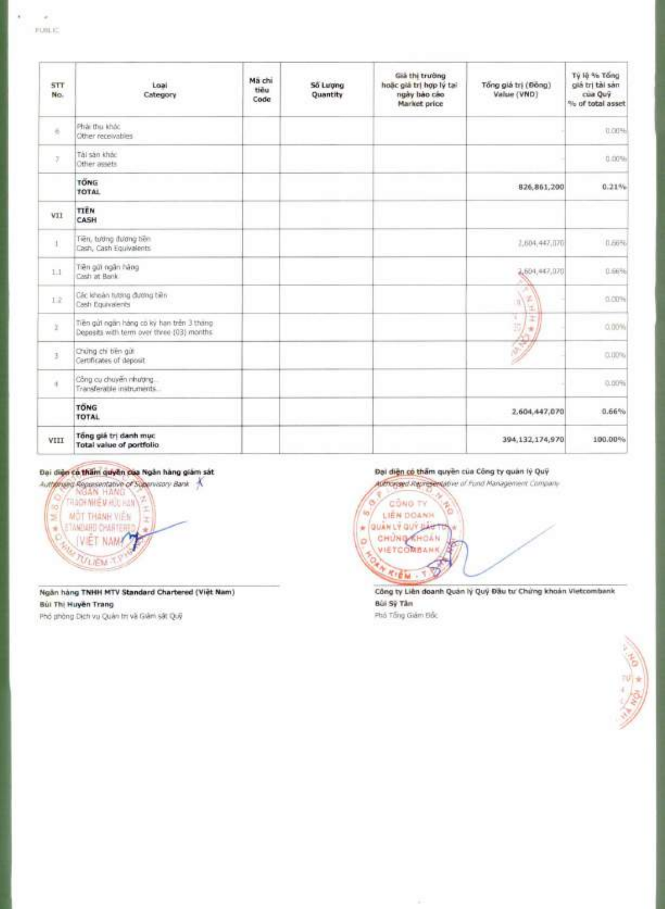| F(0)1.1 |  |  |  |
|---------|--|--|--|
|         |  |  |  |
|         |  |  |  |
|         |  |  |  |
|         |  |  |  |
|         |  |  |  |
|         |  |  |  |

à,

×

| <b>STT</b><br>No. | Loal<br>Category                                                                        | Ma chi<br>tiēu<br>Code | Số Lượng<br>Quantity | Già thị trường<br>hoặc giả trị hợp lý tại<br>ngày bào cáo<br>Market price | Tổng giá trị (Đông)<br>Value (VND) | Tý là % Tổng<br>giá trị tài sán<br>cua Quỹ<br>% of total asset |
|-------------------|-----------------------------------------------------------------------------------------|------------------------|----------------------|---------------------------------------------------------------------------|------------------------------------|----------------------------------------------------------------|
| š                 | Phái thu khác<br>Other receivables                                                      |                        |                      |                                                                           |                                    | 0.00%                                                          |
| 7.                | Tài san khác<br>Other assets.                                                           |                        |                      |                                                                           |                                    | 0.00%                                                          |
|                   | <b>TONG</b><br>TOTAL                                                                    |                        |                      |                                                                           | 826.861,200                        | 0.21%                                                          |
| vii               | TIEN<br>CASH                                                                            |                        |                      |                                                                           |                                    |                                                                |
| $\mathbf{1}$      | Tiên, tướng đương tiên<br>Cash, Cash Equivalents                                        |                        |                      |                                                                           | 2,604,447,070                      | 0.66%                                                          |
| 1.1               | Tiền giữ ngân hàng<br>Cash at Bank                                                      |                        |                      |                                                                           | 2,604,447,070                      | 0.66%                                                          |
| L2                | Các khoản tương đương tiền<br>Cash Equivalents                                          |                        |                      |                                                                           | 馅<br>R<br>T.                       | 0.00%                                                          |
| r                 | Tiên gửi ngăn hàng có kỳ hạn trên 3 tháng<br>Deposits with term over three-(03) months: |                        |                      |                                                                           | T<br>×<br>$\mathbb{E}_l$<br>÷      | 0.00%                                                          |
| ä                 | Chúng chi bên gứt<br>Certificates of deposit                                            |                        |                      |                                                                           | <b>RAND</b>                        | 0.00%                                                          |
| ă.                | Công cụ chuyển nhượng.<br>Transferable instruments                                      |                        |                      |                                                                           |                                    | 0.00%                                                          |
|                   | <b>TONG</b><br><b>TOTAL</b>                                                             |                        |                      |                                                                           | 2,604,447,070                      | 0.66%                                                          |
| VIII              | Tổng giá trị danh mục<br>Total value of portfolio.                                      |                        |                      |                                                                           | 394,132,174,970                    | 100.00%                                                        |

## Đại diện có thầm quyền của Ngân hàng giảm sát



Ngân hàng TNHH MTV Standard Chartered (Việt Nam) Bùi Thị Huyền Trang Phổ phòng Dịch vụ Quân trị và Giản sát Quỹ

#### Đại diện có thẩm quyền của Công ty quân lý Quỹ

Authorised Representative of Fund Management Company



Công ty Liên doanh Quản lý Quỹ Đầu tư Chứng khoản Vietcombank Bùi Sỹ Tâm Phố Tống Giám Đốc



g.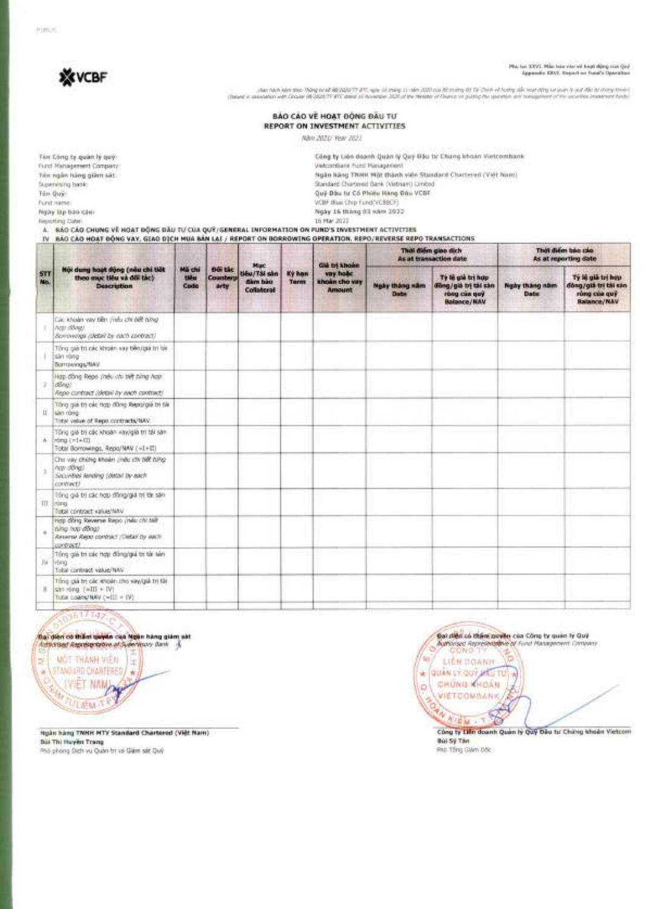

# 

-<br>International of the state of the set of print in the state of the print of the state of the state of the state of the state of the state of the state of the maximum of the maximum of the maximum of the maximum of the ma

BẢO CÁO VỀ HOẠT ĐỘNG ĐẦU TƯ REPORT ON INVESTMENT ACTIVITIES

Não 2021/ Year 2021

| Tim Cong by quan ly quy :                                                                        | Công ty Liên doanh Quán lý Quý Đầu từ Chứng khoản Vietcombank                                                     |
|--------------------------------------------------------------------------------------------------|-------------------------------------------------------------------------------------------------------------------|
| Fund Management Company:                                                                         | Vietcontians Fund Management                                                                                      |
| Tin ngàn hàng giàm sà !                                                                          | Ngão hãog Thiert Một thành viên Standard Chartered (Việt Nam)                                                     |
| Tauservining haski                                                                               | Standard Chartmed Bank (Vietnam) Limbed                                                                           |
| Ten Quic.                                                                                        | Guy Dau fu Co Phieu Hang Dau VCBT                                                                                 |
| Fund market                                                                                      | VCIIF Blue Chip Fund(VC88CF)                                                                                      |
| Ngày làp bào cào:                                                                                | Ngày 15 tháng 33 năm 2032                                                                                         |
| <b>Reporting Class:</b>                                                                          | 15 Mar 2022                                                                                                       |
| A. BÁO CÁO CHUNG VỀ HOẠT ĐỒNG ĐẦU TỰ CỦA QUY/GENERAL INFORMATION ON FUND'S INVESTMENT ACTIVITIES |                                                                                                                   |
|                                                                                                  | IV. BAD CAO HOAT BONG VAY, GIAO DICH WIIA BAN LAL / REPORT ON BORROWING OPERATION, REPO/REVERSE REPO TRANSACTIONS |

| STT<br>No. | Nội dung hoạt động (nấu chi tiết<br>theo muc tiêu và đời tác)<br><b>Description</b>                                           | Mã chi<br>tilu<br>Code |                                   | Muc<br>tiêu/Tậi sản<br>dàm bào<br>Collaborat | Ky han<br><b>Terms</b> | <b>Gli tri khoán</b><br>vay holic<br>shoan cho vay<br><b>Amount</b> | Thời điểm giao dịch<br>As at transaction date |                                                                                   | That diem bac cao<br>As at reporting date |                                                                                 |
|------------|-------------------------------------------------------------------------------------------------------------------------------|------------------------|-----------------------------------|----------------------------------------------|------------------------|---------------------------------------------------------------------|-----------------------------------------------|-----------------------------------------------------------------------------------|-------------------------------------------|---------------------------------------------------------------------------------|
|            |                                                                                                                               |                        | <b>Dürtéc</b><br>Counterp<br>arty |                                              |                        |                                                                     | <b>Ngày thàng xăm</b><br>Date                 | Tý lệ giá trị hợp<br>diling/già tri tài san<br>rong can guy<br><b>Balance/NAV</b> | <b>Nighy tháng nám</b><br>Date:           | Tý lệ giá trị hợp<br>döng/già tri tài san<br>rùng của quỹ<br><b>Balance/NAV</b> |
|            | Cac khoản vày bên (như chi biệt từng)<br>1. Ace dilvan<br>Sovowoga (detail by each contract)                                  |                        |                                   |                                              |                        |                                                                     |                                               |                                                                                   |                                           |                                                                                 |
|            | Tổng già trị các khoản vay biên/giá trị biệ<br>sän rång<br>Bornswings/NAV                                                     |                        |                                   |                                              |                        |                                                                     |                                               |                                                                                   |                                           |                                                                                 |
| ä.         | Hop dong Reps yindy chi tikit bing hop.<br>10000<br>Repo contract (stetail by each contract)                                  |                        |                                   |                                              |                        |                                                                     |                                               |                                                                                   |                                           |                                                                                 |
| H. 1       | Tổng giá trị các hợp đồng Repolgiá trị tiê<br>sain noire<br>Total value of Rept contracts/NAV.                                |                        |                                   |                                              |                        |                                                                     |                                               |                                                                                   |                                           |                                                                                 |
| A.         | Tổng giá trị các khoán «twigià trị tái san<br>[24.11]<br>Total Borrowings, Repo/MAV (<1+IT)                                   |                        |                                   |                                              |                        |                                                                     |                                               |                                                                                   |                                           |                                                                                 |
|            | Cho vay chúng khoản zhâu chi tiết từng<br>hop (Ring)<br>Sacurities' tending (detail by each<br>contract?                      |                        |                                   |                                              |                        |                                                                     |                                               |                                                                                   |                                           |                                                                                 |
|            | Tổng giá trị các hợp đồng/giá trị tái sản<br>III Irong<br>Total contract value/MAV                                            |                        |                                   |                                              |                        |                                                                     |                                               |                                                                                   |                                           |                                                                                 |
|            | Hop dring Reverse Repo (mile chi half<br>ting top door.<br>Alexand Alexi contract (Taitan by auct).<br>contract?              |                        |                                   |                                              |                        |                                                                     |                                               |                                                                                   |                                           |                                                                                 |
| BC         | Tổng giá trị các hợp đồng/giá trị tắi sản<br><b>FBING</b><br>Total contract value/NAV                                         |                        |                                   |                                              |                        |                                                                     |                                               |                                                                                   |                                           |                                                                                 |
|            | Tổng giá trị các thoán tho xay giá trị tậi<br>$\sin \pi$ ing $\left[ \text{mH} \right]$ + IVI<br>Total coalectNAV.(will = IV) |                        |                                   |                                              |                        |                                                                     |                                               |                                                                                   |                                           |                                                                                 |
|            |                                                                                                                               |                        |                                   |                                              |                        |                                                                     |                                               |                                                                                   |                                           |                                                                                 |

## San171423

**Bail diên có thầnh quyền của Ngân hàng giảm sát**<br>Autostast Asprése trêns at Sulentinony Bank

**WOT THANH VIEW** 5 ÷ **OTANG URD CHARTERED / W** ŵ WET NAME SHITTILEM T

Hgân hàng TNHH MTV Standard Chartered (Việt Nam) **Büt Thi Huyền Trang** Phó phòng Dich vụ Quân tri và Giám sắt Quố

Bal dies có thán payen cas Công ty quan lý Quý<br>Autorsed Representative of Fund Management Company ė ter. LIÉN DOANH COUNTROOP **VIETCOMBANK** 15 **NIEM -**Công ty Liên doanh Quản lý Quy Đầu tư Chứng khoản Vietcom

Bùi Sỹ Tán Pho Tổng Giám Độc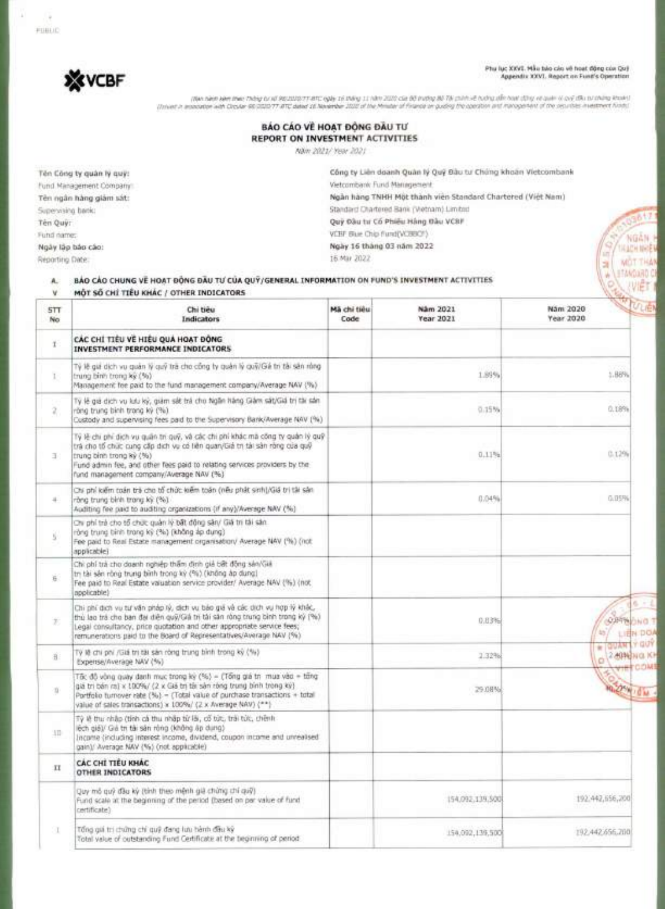# Phụ lục XXVI. Mẫu tulo cán về hoạt động còn Qu)<br>Appendix XXVI. Report on Fund's Operation

NGÃN

**IKACH NHE** 

**MOT THAT** 

(No sinc Mar thing to all REDISSITERT AND IT WAY IT WAS 2022 Cia BE INTO ABLE IN DUIT OF AUTHOR OUT TO OUT ALT<br>The Miller of Discounty on a Discussion of The Miller of the Miller of France or publy the continue of the post

## BÁO CÁO VỀ HOẠT ĐỒNG ĐẦU TƯ REPORT ON INVESTMENT ACTIVITIES

Näm 2021/ Year 2021

16 Mar 2022

Tên Công ty quân lý quỹ: Fund Management Company: Tên ngân hàng giảm sát: Supervising back: Tên Quỹ: Fund name: Ngày lập bảo cáo:

Reporting Date:

Công ty Liên doanh Quân lý Quỹ Bầu tư Chúng khoản Vietcombank Vietcombank Fund Management. Ngàn hàng TNHH Một thành viên Standard Chartered (Việt Nam) Standard Chartered Bank (Wetnam) Limited Quỳ Đầu tư Cổ Phiêu Hàng Đầu VCBF VCBF Blue Chip flund(VCBBCF) Ngày 16 tháng 03 năm 2022

| A.<br>v.     | BÁO CÁO CHUNG VE HOAT ĐỘNG ĐẦU TƯ CỦA QUÝ/GENERAL INFORMATION ON FUND'S INVESTMENT ACTIVITIES<br>MÔT SỐ CHỈ TIÊU KHÁC / OTHER INDICATORS                                                                                                                                                                       |                     |                       |                            |
|--------------|----------------------------------------------------------------------------------------------------------------------------------------------------------------------------------------------------------------------------------------------------------------------------------------------------------------|---------------------|-----------------------|----------------------------|
| 5TT<br>No.   | Chi tiêu<br><b>Indicators</b>                                                                                                                                                                                                                                                                                  | Mã chi tiêu<br>Code | Nåm 2021<br>Year 2021 | Nam 2020<br>Year 2020      |
| Ŧ.           | CÁC CHÍ TIÊU VỀ HIÊU QUẢ HOẠT ĐỒNG<br>INVESTMENT PERFORMANCE INDICATORS                                                                                                                                                                                                                                        |                     |                       |                            |
| $\mathbb{I}$ | Tỷ lễ giá dịch vụ quản lý quỹ trà cho công ty quản lý quỹ/Gá trị tài sản rằng<br>trung binh trong ky (%)<br>Management fee paid to the fund management company/Average NAV (%)                                                                                                                                 |                     | 1.89%                 | 1.88%                      |
| z.           | Tý lệ giá dịch vụ lưu ký, giảm sắt trả cho higăn hàng Giảm sát/Giá trị tài sản.<br>rông trung bình trong kỳ (%).<br>Custody and supervising fees paid to the Supervisory Bank/Average NAV (%)                                                                                                                  |                     | 0.15%                 | 0.189%                     |
| 手:           | Tý lệ chi phí dịch vụ quân trị quỹ, và các chi phí khác mã công ty quân lý quỹ<br>trá cho tổ chức cung cấp dịch vụ có liên quan/Giả trị tài sản ròng của quỹ<br>trung binh trong ký (%)<br>und admin fee, and other fees paid to relating services providers by the<br>fund management company/Average NAV (%) |                     | 0.11%                 | 0.1296                     |
| ÷            | Chí phí kiếm toán trà cho tổ chức kiếm toán (nếu phát sinh)/Giá trị tài sản<br>rông trung binh trong ký (%).<br>Auditing fee paid to auditing organizations (if any)/Average NAV (%)                                                                                                                           |                     | 0.04%                 | 0.05%                      |
| ý.           | Chi phí trả cho tổ chức quản lý bất động sản/ Giá trị tải sản.<br>ròng trung binh trong kỳ (%) (không áp dụng)<br>Fee paid to Real Estate management organisation/ Average NAV (%) (not<br>applicable)                                                                                                         |                     |                       |                            |
| ä.           | Chi phí trả cho doanh nghiệp thâm định giả bất động sản Giả<br>trị tài sản rông trung bình trong kỳ (%) (không áp dung)<br>Fee paid to Real Estate valuation service provider/ Average NAV (%) (not<br>npplicable)                                                                                             |                     |                       |                            |
| Ŧ.           | Chi phí dịch vụ từ văn pháp lý, dịch vụ bảo giá và các dịch vụ hợp lý khác,<br>thủ lao trá cho ban đại diễn quỹ/Giá trị tài sản ròng trung bình trong kỳ (%)<br>Legal consultancy, price quotation and other appropriate service fees;<br>remunerations paid to the Board of Representatives/Average NAV (%)   |                     | 0.03%                 | <b>OUTWORD</b><br>LIEN DOA |
| 由:           | Tý lệ chi phi /Giá trị tài sản ròng trung bình trong kỳ (%)<br>Expense/Average NAV (%)                                                                                                                                                                                                                         |                     | 2.32%                 | 2.40NENGLIKI<br>ö          |
| tí.          | Tốc độ vòng quáy danh mục trong kỳ (%) = (Tổng giá trị mua vào = tổng<br>giá trị bán ra) x 100%/ (2 x Giá trị tài sản ròng trung bình trong kỳ)<br>Portfolio turnover rate (%) - (Total value of purchase transactions + total<br>value of sales transactions) x 100%/ (2 x Average NAV) (**)                  |                     | 29.08%                | <b>DOWICH</b>              |
| ID.          | Tỷ lệ thu nhập (tính cả thu nhập từ lã, cổ tức, trái tức, chênh<br>lệch giá)/ Giá th tài sản rông (không áp dụng)<br>Income (including interest income, dividend, coupon income and unrealised<br>gain)/ Average NAV (%) (not applicable).                                                                     |                     |                       |                            |
| TI           | CÁC CHÍ TIỂU KHÁC<br>OTHER INDICATORS                                                                                                                                                                                                                                                                          |                     |                       |                            |
|              | Quy mô quỹ đầu kỳ (tính theo mệnh giệ chứng chí quỹ)<br>Fund scale at the beginning of the period (based on per value of fund<br>certificate?                                                                                                                                                                  |                     | 154,092,139,500       | 192.442.656,200            |
|              | Tổng giá trị chứng chi quỹ đang lưu hành đầu kỳ<br>Total value of outstanding Fund Certificate at the teginning of period.                                                                                                                                                                                     |                     | 154,092,139,500       | 192.442.656.200            |



S. FUBLIC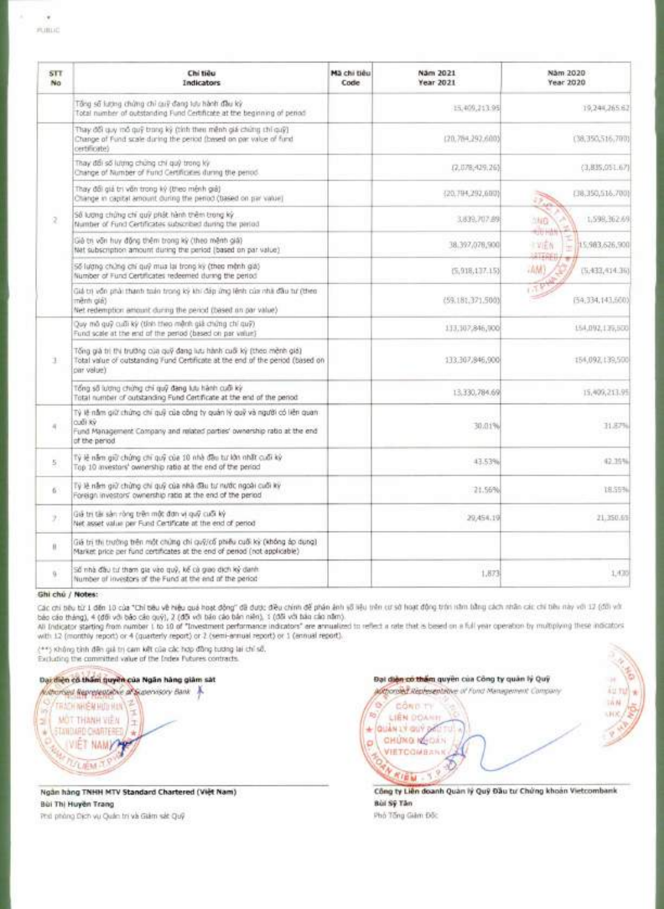| <b>STT</b><br>No. | Chi tiêu<br><b>Indicators</b>                                                                                                                                                      | Mã chi tiêu<br>Code | Näm 2021<br>Year 2021 | Näm 2020<br>Year 2020                             |
|-------------------|------------------------------------------------------------------------------------------------------------------------------------------------------------------------------------|---------------------|-----------------------|---------------------------------------------------|
|                   | Tổng số lượng chứng chỉ cuỹ đang tựu hành đầu kỳ.<br>Total number of outstanding Fund Certificate at the beginning of period-                                                      |                     | 15,409,213.95         | 19,244,265.62                                     |
|                   | Thay đổi quy mô quỹ trong kỳ (tính theo mênh giá chứng chỉ quỹ)<br>Change of Fund scale during the period (based on par value of fund<br>certificate)                              |                     | (20.764.292.600)      | (38,350,516,700)                                  |
|                   | Thay đổi số lượng chứng chỉ quý trong kỳ<br>Change of Number of Fund Certificates during the period.                                                                               |                     | (7.078, 429, 26)      | (3,835,051.67)                                    |
|                   | Thay đổi giả trị văn trong kỳ (theo mênh giả)<br>Change in capital amount during the period (based on par value)                                                                   |                     | (20.794.292.000)      | (18,350,516,700)<br>35<br><b>Addition</b>         |
| 2                 | Số lượng chứng chi quỹ phát hành thêm trong kỳ<br>Number of Fund Certificates subscribed during the pirilod.                                                                       |                     | 3,839,707.89          | 1,598,362.69<br>加加自                               |
|                   | Giả thị văn huy đồng thêm trong kỳ (theo mênh giả)<br>Net subscription amount during the period (based on par value)                                                               |                     | 38.397,076,900        | tju Ha<br>主义压合<br>15.983.626.900<br><b>MITORI</b> |
|                   | 56 lượng chứng chí quỹ mua lại trong kỳ (theo mênh giá)<br>Number of Fund Certificates redeemed during the period.                                                                 |                     | (5,918,137.15)        | AM<br>(5.432,414.36)                              |
|                   | Giá trị vốn phải thanh toán trong kỳ khí đáp ứng lênh của nhà đầu tư (theo-<br>mênti giá)<br>Net redemption amount during the period (based on par value)                          |                     | (59.181.371.500)      | 653<br>(54.334.143.600)                           |
|                   | Quy mô quỹ cuối kỳ (tính theo mệnh giả chứng chí quỹ)<br>Fund scale at the end of the period (based on par value)                                                                  |                     | 133,307,846,000       | 154,092,139,500                                   |
| 1                 | Tống già trị thi trường của quỹ đang lựu hành cuối kỳ (theo mênh giá)<br>Total value of outstanding Fund Certificate at the end of the period (based on<br>par value).             |                     | 133,307,846,900       | 154,092,139,500                                   |
|                   | Tổng số lượng chứng chỉ quỹ đang lưu hành cuối kỳ<br>listal number of outstanding Fund Certificate at the end of the period.                                                       |                     | 13.330.784.69         | 15,409,213.95                                     |
| 4                 | Tỷ lễ nằm giữ chứng chi quỹ của công ty quản lý quỹ và người có liên quan.<br>(2.100)<br>Fund Management Company and related parties' ownership ratio at the end<br>of the period. |                     | 30:01%                | 31.87%                                            |
| 5.                | Tỷ lệ năm giữ chứng chi quỹ của 10 nhà đầu tư lớn nhất cuối kỳ<br>Top 10 investors' ownership ratio at the end of the period                                                       |                     | 43.53%                | 42.79%                                            |
| 63                | Tý lệ nằm giữ chứng chi quỹ của nhà đầu tư nước ngoài cuối kỳ<br>Foreign investors' ownership ratio at the end of the period                                                       |                     | 21.56%                | 18.59%                                            |
| y)                | Giá trị tâi sản ròng trên một đơn vị quỹ cuối kỳ<br>Net asset value per Fund Certificate at the end of period                                                                      |                     | 29,454.19             | 21,350.65                                         |
| ii.               | Giá trí thi trưởng trên một chứng chỉ quỹ/cổ phiêu cuối kỳ (không áp dụng) .<br>Market price per fund certificates at the end of period (not applicable)                           |                     |                       |                                                   |
| ü                 | Số nhà đầu tư tham gia vào quỹ, kế cả giao dịch kỳ danh<br>Number of investors of the Fund at the end of the period                                                                |                     | 1,873                 | 1.435                                             |

#### **Ghi chi / Notes:**

2

**VIET NAMY** 

 $F$ LIFM $\cdot$ 

Các chi bêu từ 1 đến 10 của "Chi bêu về hiệu quẻ hoạt động" đã được điều chim để phán ảnh viên cư sở hoạt động tròn năm bằng cách nhân các chí bêu này với 17 (đối với<br>báo cáo tháng), 4 (đối với báo cáo quý), 2 (đối với báo

All Indicator starting from number 1 to 10 of "Investment performance indicators" are annualized to reflect a rate that is based on a full year operation by multiplying these indicators with 12 (monthly report) or 4 (quarterly report) or 2 (semi-annual report) or 1 (annual report).

(\*\*) Kitting tinh clan gia tri cam kat cua tat hap tieing biting lai chi so% Excluding the committed value of the Index Futures contracts.

## Dar diện có thầm quyền của Ngân hàng giảm sát

Authorized Representative af Supervisory Bank **TRACH NHIÊM HUU HUN MOT THANH VIEW** STANDARD CHARTERED

Ngan hang TNHH MTV Standard Chartered (Viet Nam) Bin Thi HuVen Trang Pito phang Dich vu Quail tri va Giam sat Quy

**Dại diện có thiểm quyền của Công ty quân lý Quý** rr alsOsepivseilili 1. of Fund Management Company **A .)** 711 \* IAN **io** CÔN D-TH LIEN DOANH VO ., WC ., WC ., WC ., WC ., WC ., WC ., WC ., WC ., WC ., WC ., WC ., WC ., WC ., WC ., WC ., WC ., WC ., WC ., WC ., WC ., WC ., WC ., WC ., WC ., WC ., WC ., WC ., WC ., WC ., WC ., WC ., WC ., WC ., WC ., W **\* GUAN LY OU'i** • **'LI v!":5' O** CHUNG **COLOR** ..l'if . q ." VIETCOMBANK **tem** 

.T•

Công ty Liên doanh Quan Iý Quỹ Đầu tư Chứng khoan Vietcombank **Bid Sy Tan**  Phó Tông Giảm Đốc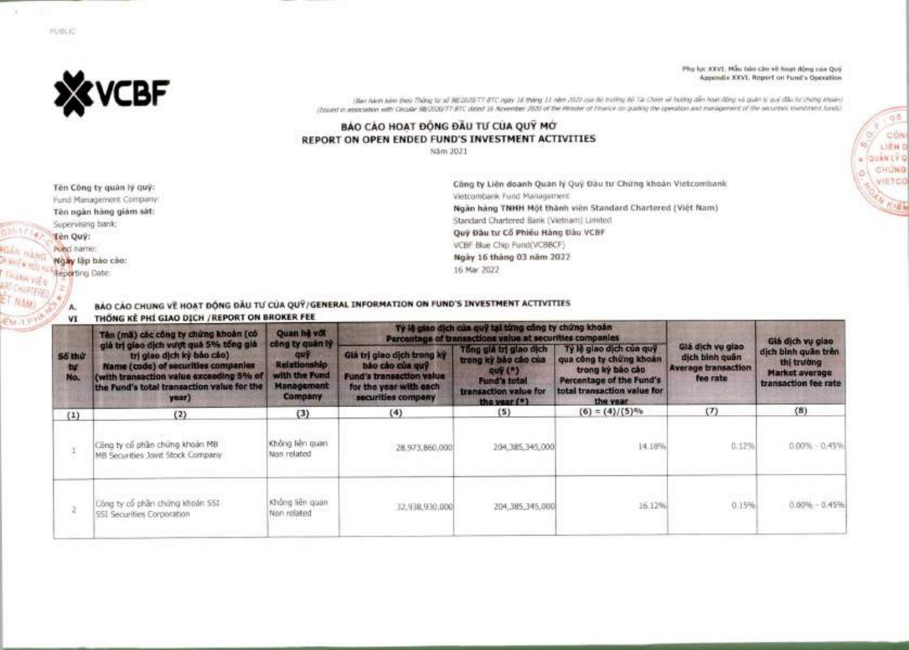

PUBLIC

Phy luc XXVI. Mẫu bảo câu về boạt động của Quỹ Appendix XXVI. Report on Fund's Operation

 $00$ 

dow

 $IFM$ 

CHUNG VIETOO

(Ban bánh kinn theo Thông từ số 98/2020/TT-8TC ngày 16 tháng 11 năm 2020 củi Bộ trường Bộ Tài Chinh về hướng diễn hoạt động và quán lý quý đầu từ chứng khoản) (Issued in association with Circular 98/2020/77-81), dozed 16 November 2020 of the Missine of Finance on pushing the operation and management of the securities investment fundo.

## BÁO CÁO HOAT ĐỒNG ĐẦU TƯ CỦA QUÝ MỚ REPORT ON OPEN ENDED FUND'S INVESTMENT ACTIVITIES

Näm 2021

Tên Công ty quản lý quý: Fund Management Company. Tên ngân hàng giảm sát: Supervising bank: Ten Quy: Pubci name: Ngày lập bào cáo: Reporting Date:

Α.

Công ty Liên doanh Quan lý Quỹ Đầu tư Chứng khoản Vietcombank Vietcombank Fund Management Ngàn hàng TNHH Một thành viên Standard Chartered (Việt Nam) Standard Chartered Bank (Vietnam) Limited Quỹ Đầu tư Cổ Phiếu Hàng Đầu VCBF VCBF Blue Chip Fund(VCBBCF) Ngày 16 tháng 03 năm 2022 16 Mar 2022

BÁO CÁO CHUNG VỀ HOẠT ĐỘNG ĐẦU TƯ CỦA QUY/GENERAL INFORMATION ON FUND'S INVESTMENT ACTIVITIES THEN HE NU CLASS STOLE INCREDIT ON RECKER FEE

| <b>VI</b>           | <b>INONG REPRESENTATION</b> (REPORT ON BROKER FEE                                                                                                                                                            |                                                                                         |                                                                                                                                  |                                                                                                                                 |                                                                                                                                                |                                                                              |                                                                               |
|---------------------|--------------------------------------------------------------------------------------------------------------------------------------------------------------------------------------------------------------|-----------------------------------------------------------------------------------------|----------------------------------------------------------------------------------------------------------------------------------|---------------------------------------------------------------------------------------------------------------------------------|------------------------------------------------------------------------------------------------------------------------------------------------|------------------------------------------------------------------------------|-------------------------------------------------------------------------------|
| 55 thứ<br>tu<br>No. | Tên (mã) các công ty chứng khoản (có                                                                                                                                                                         | Quan he vot                                                                             |                                                                                                                                  | Tỷ lệ giao địch của quỹ tại từng công ty chứng khoản<br>Percentage of transactions value at securities companies                |                                                                                                                                                | Giá dịch vụ giao                                                             |                                                                               |
|                     | giá trị giao dịch vượt quá 5% tổng giá<br>tri giao dịch kỳ báo cáo)<br>Name (code) of securities companies<br>(with transaction value exceeding 5% of<br>the Fund's total transaction value for the<br>year) | công ty quân lý<br>dnA<br><b>Relationship</b><br>with the Fund<br>Management<br>Company | Giá trị giao dịch trong kỳ<br>bão cão của quỹ<br><b>Fund's transaction value</b><br>for the year with each<br>securities company | Tông giá trị giao dịch<br>trong kỳ bảo cáo của<br>$q$ uy $($ ")<br><b>Fund's total</b><br>transaction value for<br>the year (*) | Ty le giao dich cua quy<br>qua công ty chứng khoản<br>trong ký bão cáo<br>Percentage of the Fund's<br>total transaction value for<br>the year. | Giá dịch vụ giao<br>dịch bình quân<br><b>Average transaction</b><br>fee rate | dịch bình quân trên<br>thi truiding<br>Market average<br>transaction fee rate |
| (1)                 | (2)                                                                                                                                                                                                          | (3)                                                                                     | (4)                                                                                                                              | (5)                                                                                                                             | $(6) = (4)/(5)\%$                                                                                                                              | (7)                                                                          | (8)                                                                           |
|                     | Công ty cổ phần chúng khoản MB<br>MB Securities Joint Stock Company                                                                                                                                          | Không liên quan<br>Non related                                                          | 28.973.860.000                                                                                                                   | 204,385,345,000                                                                                                                 | 14.18%                                                                                                                                         | 0.12%                                                                        | $0.00\% - 0.45\%$                                                             |
|                     | Công ty cổ phần chứng khoán SSI<br>551 Securities Corporation                                                                                                                                                | Không liên quan<br>Non related                                                          | 12.938.930.000                                                                                                                   | 204;385,345,000                                                                                                                 | 16.12%                                                                                                                                         | <b>CONTRACT</b><br>0.15%                                                     | $0.00\% - 0.45\%$                                                             |